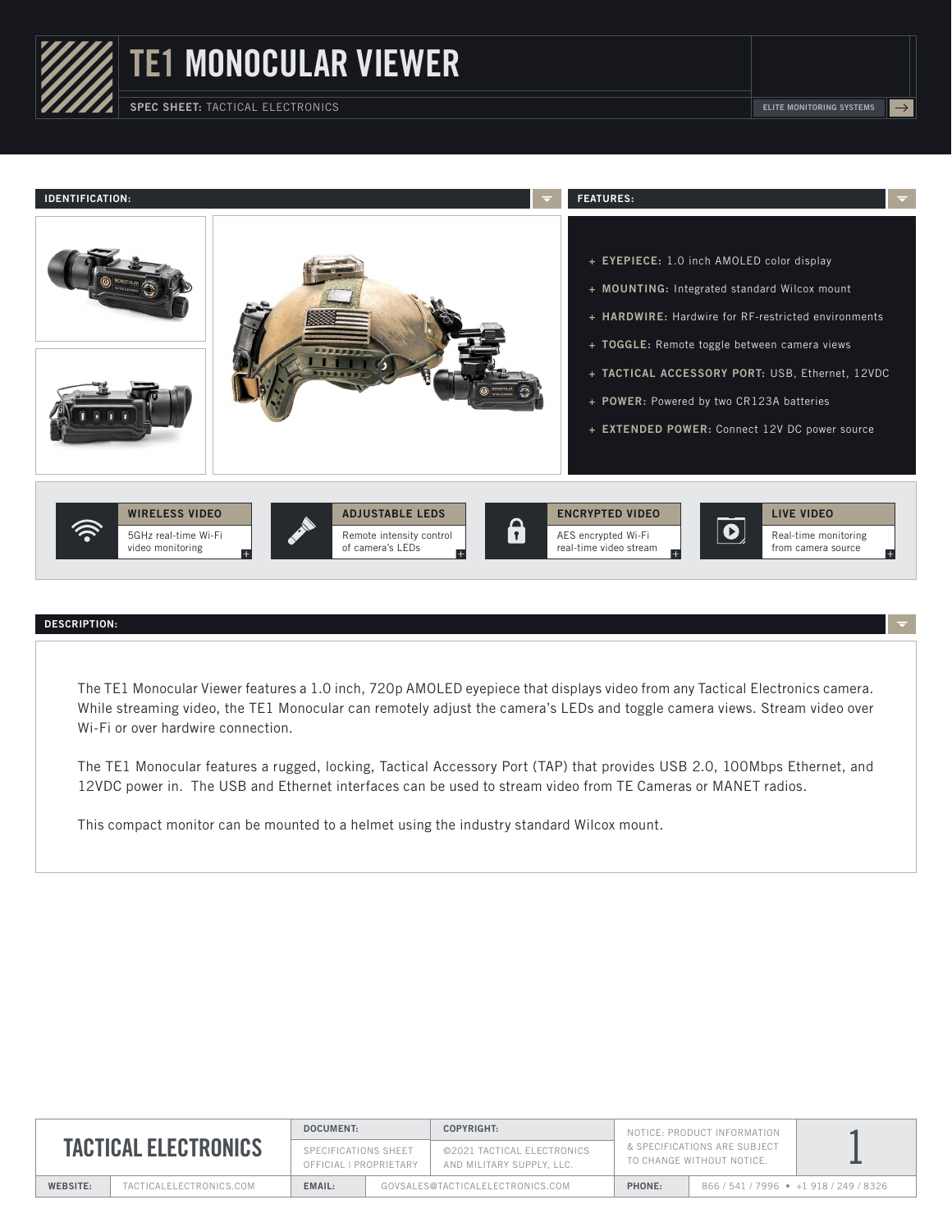

TE1 MONOCULAR VIEWER

SPEC SHEET: TACTICAL ELECTRONICS **ELITE MONITORING SYSTEMS ELITE MONITORING SYSTEMS** 



## DESCRIPTION:

The TE1 Monocular Viewer features a 1.0 inch, 720p AMOLED eyepiece that displays video from any Tactical Electronics camera. While streaming video, the TE1 Monocular can remotely adjust the camera's LEDs and toggle camera views. Stream video over Wi-Fi or over hardwire connection.

The TE1 Monocular features a rugged, locking, Tactical Accessory Port (TAP) that provides USB 2.0, 100Mbps Ethernet, and 12VDC power in. The USB and Ethernet interfaces can be used to stream video from TE Cameras or MANET radios.

This compact monitor can be mounted to a helmet using the industry standard Wilcox mount.

| <b>TACTICAL ELECTRONICS</b> |                          | <b>DOCUMENT:</b>                               |                                  | COPYRIGHT:                                              | NOTICE: PRODUCT INFORMATION<br>& SPECIFICATIONS ARE SUBJECT<br>TO CHANGE WITHOUT NOTICE. |                               |  |
|-----------------------------|--------------------------|------------------------------------------------|----------------------------------|---------------------------------------------------------|------------------------------------------------------------------------------------------|-------------------------------|--|
|                             |                          | SPECIFICATIONS SHEET<br>OFFICIAL I PROPRIETARY |                                  | ©2021 TACTICAL ELECTRONICS<br>AND MILITARY SUPPLY, LLC. |                                                                                          |                               |  |
| <b>WEBSITE:</b>             | TACTICAL ELECTRONICS.COM | EMAIL:                                         | GOVSALES@TACTICALELECTRONICS.COM |                                                         | PHONE:                                                                                   | 866/541/7996 • +1918/249/8326 |  |